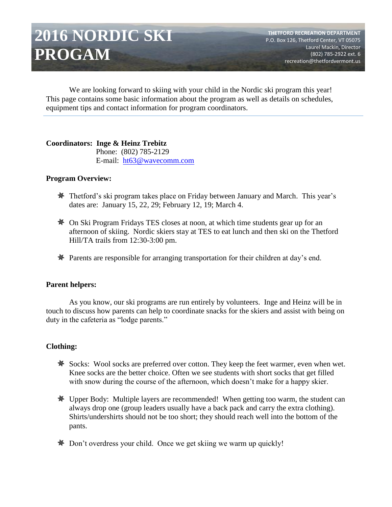# **2016 NORDIC SKI PROGAM**

We are looking forward to skiing with your child in the Nordic ski program this year! This page contains some basic information about the program as well as details on schedules, equipment tips and contact information for program coordinators.

### **Coordinators: Inge & Heinz Trebitz**

 Phone: (802) 785-2129 E-mail: [ht63@wavecomm.com](mailto:ht63@wavecomm.com)

### **Program Overview:**

- Thetford's ski program takes place on Friday between January and March. This year's dates are: January 15, 22, 29; February 12, 19; March 4.
- On Ski Program Fridays TES closes at noon, at which time students gear up for an afternoon of skiing. Nordic skiers stay at TES to eat lunch and then ski on the Thetford Hill/TA trails from 12:30-3:00 pm.
- Parents are responsible for arranging transportation for their children at day's end.

## **Parent helpers:**

As you know, our ski programs are run entirely by volunteers. Inge and Heinz will be in touch to discuss how parents can help to coordinate snacks for the skiers and assist with being on duty in the cafeteria as "lodge parents."

## **Clothing:**

- Socks: Wool socks are preferred over cotton. They keep the feet warmer, even when wet. Knee socks are the better choice. Often we see students with short socks that get filled with snow during the course of the afternoon, which doesn't make for a happy skier.
- Upper Body: Multiple layers are recommended! When getting too warm, the student can always drop one (group leaders usually have a back pack and carry the extra clothing). Shirts/undershirts should not be too short; they should reach well into the bottom of the pants.
- Don't overdress your child. Once we get skiing we warm up quickly!